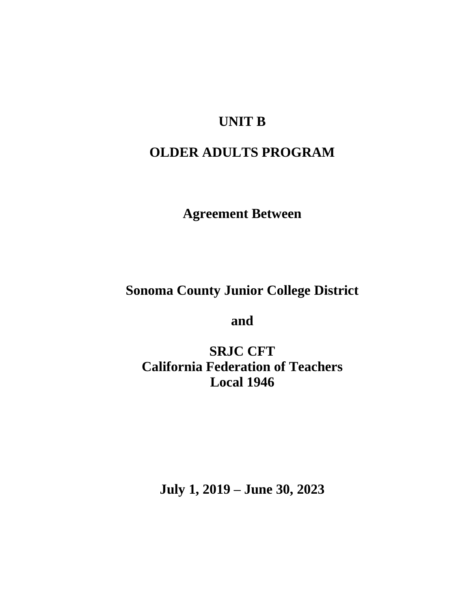## **UNIT B**

# **OLDER ADULTS PROGRAM**

**Agreement Between**

**Sonoma County Junior College District**

**and**

**SRJC CFT California Federation of Teachers Local 1946**

**July 1, 2019 – June 30, 2023**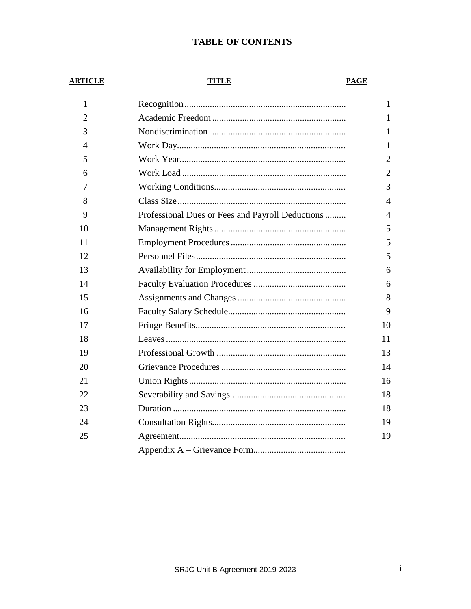## **TABLE OF CONTENTS**

#### **ARTICLE**

## **TITLE**

## **PAGE**

| $\mathbf{1}$   |                                                  | 1              |
|----------------|--------------------------------------------------|----------------|
| $\overline{2}$ |                                                  | 1              |
| 3              |                                                  | 1              |
| 4              |                                                  | 1              |
| 5              |                                                  | $\overline{2}$ |
| 6              |                                                  | $\overline{2}$ |
| 7              |                                                  | 3              |
| 8              |                                                  | $\overline{4}$ |
| 9              | Professional Dues or Fees and Payroll Deductions | $\overline{4}$ |
| 10             |                                                  | 5              |
| 11             |                                                  | 5              |
| 12             |                                                  | 5              |
| 13             |                                                  | 6              |
| 14             |                                                  | 6              |
| 15             |                                                  | 8              |
| 16             |                                                  | 9              |
| 17             |                                                  | 10             |
| 18             |                                                  | 11             |
| 19             |                                                  | 13             |
| 20             |                                                  | 14             |
| 21             |                                                  | 16             |
| 22             |                                                  | 18             |
| 23             |                                                  | 18             |
| 24             |                                                  | 19             |
| 25             |                                                  | 19             |
|                |                                                  |                |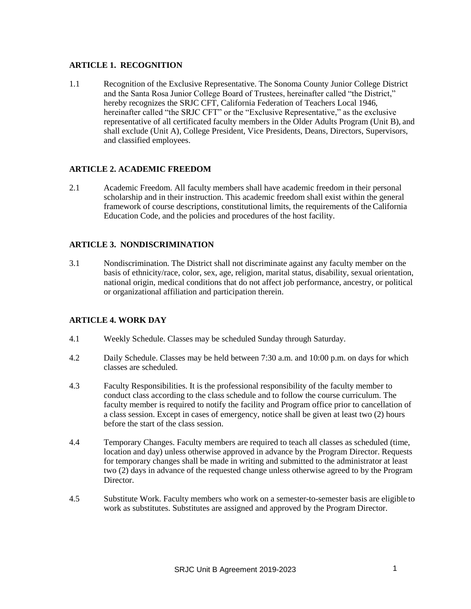## **ARTICLE 1. RECOGNITION**

1.1 Recognition of the Exclusive Representative. The Sonoma County Junior College District and the Santa Rosa Junior College Board of Trustees, hereinafter called "the District," hereby recognizes the SRJC CFT, California Federation of Teachers Local 1946, hereinafter called "the SRJC CFT" or the "Exclusive Representative," as the exclusive representative of all certificated faculty members in the Older Adults Program (Unit B), and shall exclude (Unit A), College President, Vice Presidents, Deans, Directors, Supervisors, and classified employees.

## **ARTICLE 2. ACADEMIC FREEDOM**

2.1 Academic Freedom. All faculty members shall have academic freedom in their personal scholarship and in their instruction. This academic freedom shall exist within the general framework of course descriptions, constitutional limits, the requirements of theCalifornia Education Code, and the policies and procedures of the host facility.

## **ARTICLE 3. NONDISCRIMINATION**

3.1 Nondiscrimination. The District shall not discriminate against any faculty member on the basis of ethnicity/race, color, sex, age, religion, marital status, disability, sexual orientation, national origin, medical conditions that do not affect job performance, ancestry, or political or organizational affiliation and participation therein.

#### **ARTICLE 4. WORK DAY**

- 4.1 Weekly Schedule. Classes may be scheduled Sunday through Saturday.
- 4.2 Daily Schedule. Classes may be held between 7:30 a.m. and 10:00 p.m. on days for which classes are scheduled.
- 4.3 Faculty Responsibilities. It is the professional responsibility of the faculty member to conduct class according to the class schedule and to follow the course curriculum. The faculty member is required to notify the facility and Program office prior to cancellation of a class session. Except in cases of emergency, notice shall be given at least two (2) hours before the start of the class session.
- 4.4 Temporary Changes. Faculty members are required to teach all classes as scheduled (time, location and day) unless otherwise approved in advance by the Program Director. Requests for temporary changes shall be made in writing and submitted to the administrator at least two (2) days in advance of the requested change unless otherwise agreed to by the Program Director.
- 4.5 Substitute Work. Faculty members who work on a semester-to-semester basis are eligible to work as substitutes. Substitutes are assigned and approved by the Program Director.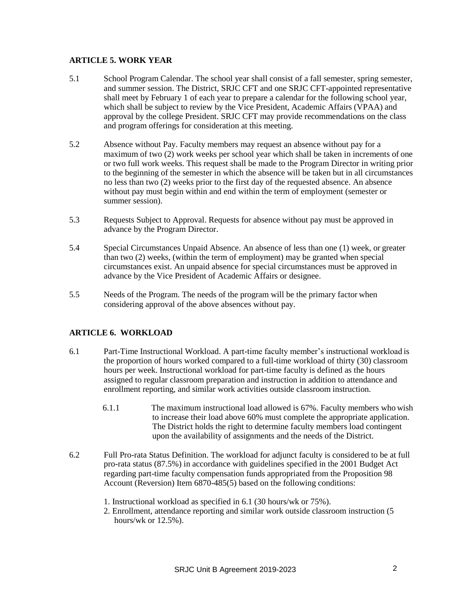#### **ARTICLE 5. WORK YEAR**

- 5.1 School Program Calendar. The school year shall consist of a fall semester, spring semester, and summer session. The District, SRJC CFT and one SRJC CFT-appointed representative shall meet by February 1 of each year to prepare a calendar for the following school year, which shall be subject to review by the Vice President, Academic Affairs (VPAA) and approval by the college President. SRJC CFT may provide recommendations on the class and program offerings for consideration at this meeting.
- 5.2 Absence without Pay. Faculty members may request an absence without pay for a maximum of two (2) work weeks per school year which shall be taken in increments of one or two full work weeks. This request shall be made to the Program Director in writing prior to the beginning of the semester in which the absence will be taken but in all circumstances no less than two (2) weeks prior to the first day of the requested absence. An absence without pay must begin within and end within the term of employment (semester or summer session).
- 5.3 Requests Subject to Approval. Requests for absence without pay must be approved in advance by the Program Director.
- 5.4 Special Circumstances Unpaid Absence. An absence of less than one (1) week, or greater than two (2) weeks, (within the term of employment) may be granted when special circumstances exist. An unpaid absence for special circumstances must be approved in advance by the Vice President of Academic Affairs or designee.
- 5.5 Needs of the Program. The needs of the program will be the primary factor when considering approval of the above absences without pay.

## **ARTICLE 6. WORKLOAD**

- 6.1 Part-Time Instructional Workload. A part-time faculty member's instructional workload is the proportion of hours worked compared to a full-time workload of thirty (30) classroom hours per week. Instructional workload for part-time faculty is defined as the hours assigned to regular classroom preparation and instruction in addition to attendance and enrollment reporting, and similar work activities outside classroom instruction.
	- 6.1.1 The maximum instructional load allowed is 67%. Faculty members who wish to increase their load above 60% must complete the appropriate application. The District holds the right to determine faculty members load contingent upon the availability of assignments and the needs of the District.
- 6.2 Full Pro-rata Status Definition. The workload for adjunct faculty is considered to be at full pro-rata status (87.5%) in accordance with guidelines specified in the 2001 Budget Act regarding part-time faculty compensation funds appropriated from the Proposition 98 Account (Reversion) Item 6870-485(5) based on the following conditions:
	- 1. Instructional workload as specified in 6.1 (30 hours/wk or 75%).
	- 2. Enrollment, attendance reporting and similar work outside classroom instruction (5 hours/wk or 12.5%).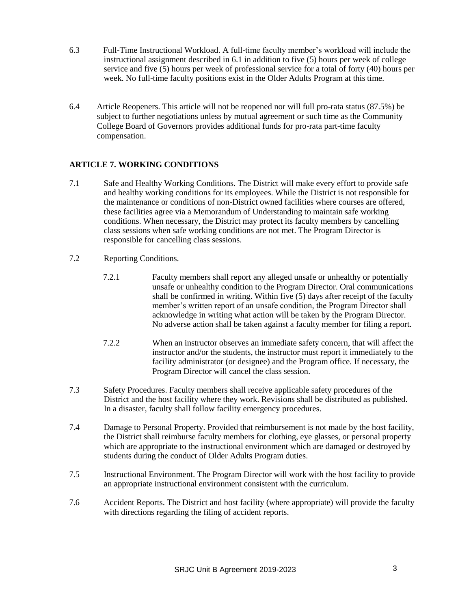- 6.3 Full-Time Instructional Workload. A full-time faculty member's workload will include the instructional assignment described in 6.1 in addition to five (5) hours per week of college service and five (5) hours per week of professional service for a total of forty (40) hours per week. No full-time faculty positions exist in the Older Adults Program at this time.
- 6.4 Article Reopeners. This article will not be reopened nor will full pro-rata status (87.5%) be subject to further negotiations unless by mutual agreement or such time as the Community College Board of Governors provides additional funds for pro-rata part-time faculty compensation.

## **ARTICLE 7. WORKING CONDITIONS**

- 7.1 Safe and Healthy Working Conditions. The District will make every effort to provide safe and healthy working conditions for its employees. While the District is not responsible for the maintenance or conditions of non-District owned facilities where courses are offered, these facilities agree via a Memorandum of Understanding to maintain safe working conditions. When necessary, the District may protect its faculty members by cancelling class sessions when safe working conditions are not met. The Program Director is responsible for cancelling class sessions.
- 7.2 Reporting Conditions.
	- 7.2.1 Faculty members shall report any alleged unsafe or unhealthy or potentially unsafe or unhealthy condition to the Program Director. Oral communications shall be confirmed in writing. Within five (5) days after receipt of the faculty member's written report of an unsafe condition, the Program Director shall acknowledge in writing what action will be taken by the Program Director. No adverse action shall be taken against a faculty member for filing a report.
	- 7.2.2 When an instructor observes an immediate safety concern, that will affect the instructor and/or the students, the instructor must report it immediately to the facility administrator (or designee) and the Program office. If necessary, the Program Director will cancel the class session.
- 7.3 Safety Procedures. Faculty members shall receive applicable safety procedures of the District and the host facility where they work. Revisions shall be distributed as published. In a disaster, faculty shall follow facility emergency procedures.
- 7.4 Damage to Personal Property. Provided that reimbursement is not made by the host facility, the District shall reimburse faculty members for clothing, eye glasses, or personal property which are appropriate to the instructional environment which are damaged or destroyed by students during the conduct of Older Adults Program duties.
- 7.5 Instructional Environment. The Program Director will work with the host facility to provide an appropriate instructional environment consistent with the curriculum.
- 7.6 Accident Reports. The District and host facility (where appropriate) will provide the faculty with directions regarding the filing of accident reports.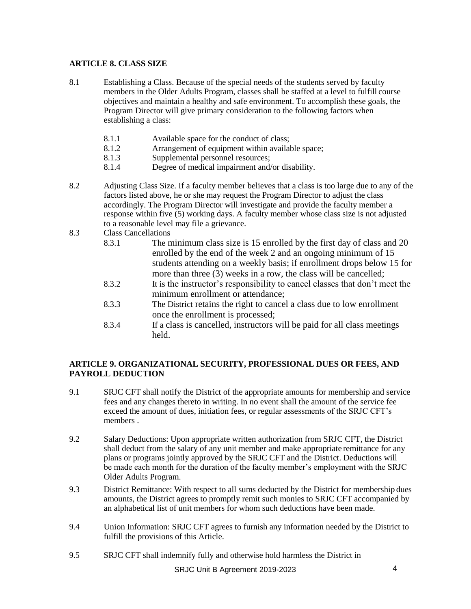## **ARTICLE 8. CLASS SIZE**

- 8.1 Establishing a Class. Because of the special needs of the students served by faculty members in the Older Adults Program, classes shall be staffed at a level to fulfill course objectives and maintain a healthy and safe environment. To accomplish these goals, the Program Director will give primary consideration to the following factors when establishing a class:
	- 8.1.1 Available space for the conduct of class;
	- 8.1.2 Arrangement of equipment within available space;
	- 8.1.3 Supplemental personnel resources;
	- 8.1.4 Degree of medical impairment and/or disability.
- 8.2 Adjusting Class Size. If a faculty member believes that a class is too large due to any of the factors listed above, he or she may request the Program Director to adjust the class accordingly. The Program Director will investigate and provide the faculty member a response within five (5) working days. A faculty member whose class size is not adjusted to a reasonable level may file a grievance.
- 8.3 Class Cancellations
	- 8.3.1 The minimum class size is 15 enrolled by the first day of class and 20 enrolled by the end of the week 2 and an ongoing minimum of 15 students attending on a weekly basis; if enrollment drops below 15 for more than three (3) weeks in a row, the class will be cancelled;
	- 8.3.2 It is the instructor's responsibility to cancel classes that don't meet the minimum enrollment or attendance;
	- 8.3.3 The District retains the right to cancel a class due to low enrollment once the enrollment is processed;
	- 8.3.4 If a class is cancelled, instructors will be paid for all class meetings held.

## **ARTICLE 9. ORGANIZATIONAL SECURITY, PROFESSIONAL DUES OR FEES, AND PAYROLL DEDUCTION**

- 9.1 SRJC CFT shall notify the District of the appropriate amounts for membership and service fees and any changes thereto in writing. In no event shall the amount of the service fee exceed the amount of dues, initiation fees, or regular assessments of the SRJC CFT's members .
- 9.2 Salary Deductions: Upon appropriate written authorization from SRJC CFT, the District shall deduct from the salary of any unit member and make appropriate remittance for any plans or programs jointly approved by the SRJC CFT and the District. Deductions will be made each month for the duration of the faculty member's employment with the SRJC Older Adults Program.
- 9.3 District Remittance: With respect to all sums deducted by the District for membership dues amounts, the District agrees to promptly remit such monies to SRJC CFT accompanied by an alphabetical list of unit members for whom such deductions have been made.
- 9.4 Union Information: SRJC CFT agrees to furnish any information needed by the District to fulfill the provisions of this Article.
- 9.5 SRJC CFT shall indemnify fully and otherwise hold harmless the District in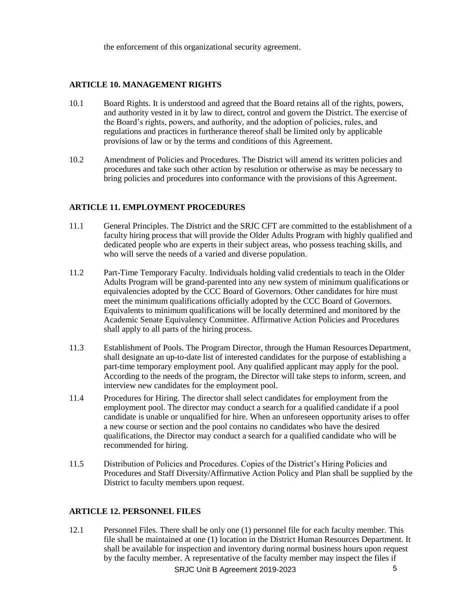the enforcement of this organizational security agreement.

## **ARTICLE 10. MANAGEMENT RIGHTS**

- 10.1 Board Rights. It is understood and agreed that the Board retains all of the rights, powers, and authority vested in it by law to direct, control and govern the District. The exercise of the Board's rights, powers, and authority, and the adoption of policies, rules, and regulations and practices in furtherance thereof shall be limited only by applicable provisions of law or by the terms and conditions of this Agreement.
- 10.2 Amendment of Policies and Procedures. The District will amend its written policies and procedures and take such other action by resolution or otherwise as may be necessary to bring policies and procedures into conformance with the provisions of this Agreement.

## **ARTICLE 11. EMPLOYMENT PROCEDURES**

- 11.1 General Principles. The District and the SRJC CFT are committed to the establishment of a faculty hiring process that will provide the Older Adults Program with highly qualified and dedicated people who are experts in their subject areas, who possess teaching skills, and who will serve the needs of a varied and diverse population.
- 11.2 Part-Time Temporary Faculty. Individuals holding valid credentials to teach in the Older Adults Program will be grand-parented into any new system of minimum qualifications or equivalencies adopted by the CCC Board of Governors. Other candidates for hire must meet the minimum qualifications officially adopted by the CCC Board of Governors. Equivalents to minimum qualifications will be locally determined and monitored by the Academic Senate Equivalency Committee. Affirmative Action Policies and Procedures shall apply to all parts of the hiring process.
- 11.3 Establishment of Pools. The Program Director, through the Human Resources Department, shall designate an up-to-date list of interested candidates for the purpose of establishing a part-time temporary employment pool. Any qualified applicant may apply for the pool. According to the needs of the program, the Director will take steps to inform, screen, and interview new candidates for the employment pool.
- 11.4 Procedures for Hiring. The director shall select candidates for employment from the employment pool. The director may conduct a search for a qualified candidate if a pool candidate is unable or unqualified for hire. When an unforeseen opportunity arises to offer a new course or section and the pool contains no candidates who have the desired qualifications, the Director may conduct a search for a qualified candidate who will be recommended for hiring.
- 11.5 Distribution of Policies and Procedures. Copies of the District's Hiring Policies and Procedures and Staff Diversity/Affirmative Action Policy and Plan shall be supplied by the District to faculty members upon request.

#### **ARTICLE 12. PERSONNEL FILES**

SRJC Unit B Agreement 2019-2023 5 12.1 Personnel Files. There shall be only one (1) personnel file for each faculty member. This file shall be maintained at one (1) location in the District Human Resources Department. It shall be available for inspection and inventory during normal business hours upon request by the faculty member. A representative of the faculty member may inspect the files if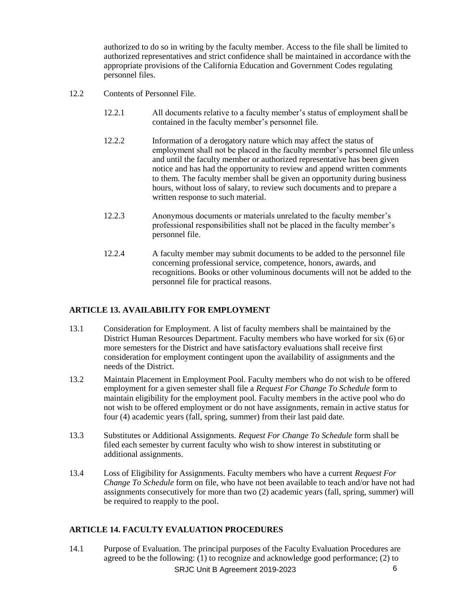authorized to do so in writing by the faculty member. Access to the file shall be limited to authorized representatives and strict confidence shall be maintained in accordance with the appropriate provisions of the California Education and Government Codes regulating personnel files.

- 12.2 Contents of Personnel File.
	- 12.2.1 All documents relative to a faculty member's status of employment shall be contained in the faculty member's personnel file.
	- 12.2.2 Information of a derogatory nature which may affect the status of employment shall not be placed in the faculty member's personnel file unless and until the faculty member or authorized representative has been given notice and has had the opportunity to review and append written comments to them. The faculty member shall be given an opportunity during business hours, without loss of salary, to review such documents and to prepare a written response to such material.
	- 12.2.3 Anonymous documents or materials unrelated to the faculty member's professional responsibilities shall not be placed in the faculty member's personnel file.
	- 12.2.4 A faculty member may submit documents to be added to the personnel file concerning professional service, competence, honors, awards, and recognitions. Books or other voluminous documents will not be added to the personnel file for practical reasons.

## **ARTICLE 13. AVAILABILITY FOR EMPLOYMENT**

- 13.1 Consideration for Employment. A list of faculty members shall be maintained by the District Human Resources Department. Faculty members who have worked for six (6) or more semesters for the District and have satisfactory evaluations shall receive first consideration for employment contingent upon the availability of assignments and the needs of the District.
- 13.2 Maintain Placement in Employment Pool. Faculty members who do not wish to be offered employment for a given semester shall file a *Request For Change To Schedule* form to maintain eligibility for the employment pool. Faculty members in the active pool who do not wish to be offered employment or do not have assignments, remain in active status for four (4) academic years (fall, spring, summer) from their last paid date.
- 13.3 Substitutes or Additional Assignments. *Request For Change To Schedule* form shall be filed each semester by current faculty who wish to show interest in substituting or additional assignments.
- 13.4 Loss of Eligibility for Assignments. Faculty members who have a current *Request For Change To Schedule* form on file, who have not been available to teach and/or have not had assignments consecutively for more than two (2) academic years (fall, spring, summer) will be required to reapply to the pool.

#### **ARTICLE 14. FACULTY EVALUATION PROCEDURES**

SRJC Unit B Agreement 2019-2023 6 14.1 Purpose of Evaluation. The principal purposes of the Faculty Evaluation Procedures are agreed to be the following: (1) to recognize and acknowledge good performance; (2) to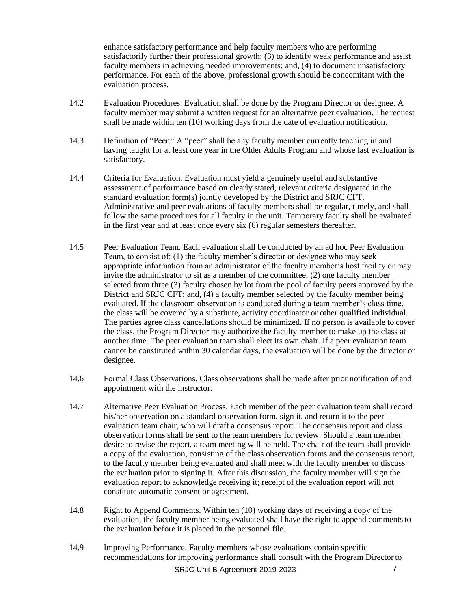enhance satisfactory performance and help faculty members who are performing satisfactorily further their professional growth; (3) to identify weak performance and assist faculty members in achieving needed improvements; and, (4) to document unsatisfactory performance. For each of the above, professional growth should be concomitant with the evaluation process.

- 14.2 Evaluation Procedures. Evaluation shall be done by the Program Director or designee. A faculty member may submit a written request for an alternative peer evaluation. The request shall be made within ten (10) working days from the date of evaluation notification.
- 14.3 Definition of "Peer." A "peer" shall be any faculty member currently teaching in and having taught for at least one year in the Older Adults Program and whose last evaluation is satisfactory.
- 14.4 Criteria for Evaluation. Evaluation must yield a genuinely useful and substantive assessment of performance based on clearly stated, relevant criteria designated in the standard evaluation form(s) jointly developed by the District and SRJC CFT. Administrative and peer evaluations of faculty members shall be regular, timely, and shall follow the same procedures for all faculty in the unit. Temporary faculty shall be evaluated in the first year and at least once every six (6) regular semesters thereafter.
- 14.5 Peer Evaluation Team. Each evaluation shall be conducted by an ad hoc Peer Evaluation Team, to consist of: (1) the faculty member's director or designee who may seek appropriate information from an administrator of the faculty member's host facility or may invite the administrator to sit as a member of the committee; (2) one faculty member selected from three (3) faculty chosen by lot from the pool of faculty peers approved by the District and SRJC CFT; and, (4) a faculty member selected by the faculty member being evaluated. If the classroom observation is conducted during a team member's class time, the class will be covered by a substitute, activity coordinator or other qualified individual. The parties agree class cancellations should be minimized. If no person is available to cover the class, the Program Director may authorize the faculty member to make up the class at another time. The peer evaluation team shall elect its own chair. If a peer evaluation team cannot be constituted within 30 calendar days, the evaluation will be done by the director or designee.
- 14.6 Formal Class Observations. Class observations shall be made after prior notification of and appointment with the instructor.
- 14.7 Alternative Peer Evaluation Process. Each member of the peer evaluation team shall record his/her observation on a standard observation form, sign it, and return it to the peer evaluation team chair, who will draft a consensus report. The consensus report and class observation forms shall be sent to the team members for review. Should a team member desire to revise the report, a team meeting will be held. The chair of the team shall provide a copy of the evaluation, consisting of the class observation forms and the consensus report, to the faculty member being evaluated and shall meet with the faculty member to discuss the evaluation prior to signing it. After this discussion, the faculty member will sign the evaluation report to acknowledge receiving it; receipt of the evaluation report will not constitute automatic consent or agreement.
- 14.8 Right to Append Comments. Within ten (10) working days of receiving a copy of the evaluation, the faculty member being evaluated shall have the right to append comments to the evaluation before it is placed in the personnel file.
- SRJC Unit B Agreement 2019-2023 14.9 Improving Performance. Faculty members whose evaluations contain specific recommendations for improving performance shall consult with the Program Directorto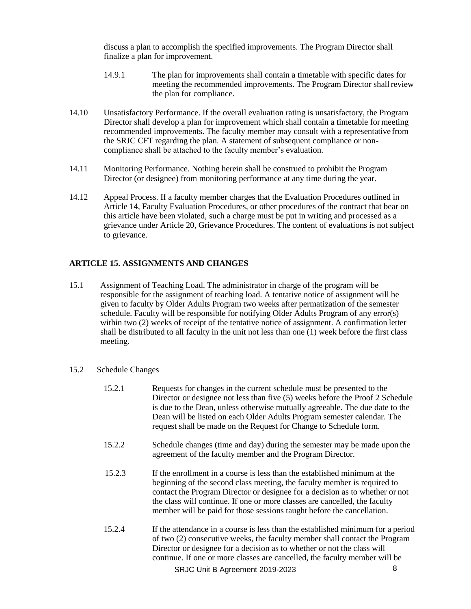discuss a plan to accomplish the specified improvements. The Program Director shall finalize a plan for improvement.

- 14.9.1 The plan for improvements shall contain a timetable with specific dates for meeting the recommended improvements. The Program Director shall review the plan for compliance.
- 14.10 Unsatisfactory Performance. If the overall evaluation rating is unsatisfactory, the Program Director shall develop a plan for improvement which shall contain a timetable for meeting recommended improvements. The faculty member may consult with a representative from the SRJC CFT regarding the plan. A statement of subsequent compliance or noncompliance shall be attached to the faculty member's evaluation.
- 14.11 Monitoring Performance. Nothing herein shall be construed to prohibit the Program Director (or designee) from monitoring performance at any time during the year.
- 14.12 Appeal Process. If a faculty member charges that the Evaluation Procedures outlined in Article 14, Faculty Evaluation Procedures, or other procedures of the contract that bear on this article have been violated, such a charge must be put in writing and processed as a grievance under Article 20, Grievance Procedures. The content of evaluations is not subject to grievance.

#### **ARTICLE 15. ASSIGNMENTS AND CHANGES**

15.1 Assignment of Teaching Load. The administrator in charge of the program will be responsible for the assignment of teaching load. A tentative notice of assignment will be given to faculty by Older Adults Program two weeks after permatization of the semester schedule. Faculty will be responsible for notifying Older Adults Program of any error(s) within two (2) weeks of receipt of the tentative notice of assignment. A confirmation letter shall be distributed to all faculty in the unit not less than one (1) week before the first class meeting.

#### 15.2 Schedule Changes

- 15.2.1 Requests for changes in the current schedule must be presented to the Director or designee not less than five (5) weeks before the Proof 2 Schedule is due to the Dean*,* unless otherwise mutually agreeable. The due date to the Dean will be listed on each Older Adults Program semester calendar. The request shall be made on the Request for Change to Schedule form.
- 15.2.2 Schedule changes (time and day) during the semester may be made upon the agreement of the faculty member and the Program Director.
- 15.2.3 If the enrollment in a course is less than the established minimum at the beginning of the second class meeting, the faculty member is required to contact the Program Director or designee for a decision as to whether or not the class will continue. If one or more classes are cancelled, the faculty member will be paid for those sessions taught before the cancellation.
- SRJC Unit B Agreement 2019-2023 8 15.2.4 If the attendance in a course is less than the established minimum for a period of two (2) consecutive weeks, the faculty member shall contact the Program Director or designee for a decision as to whether or not the class will continue. If one or more classes are cancelled, the faculty member will be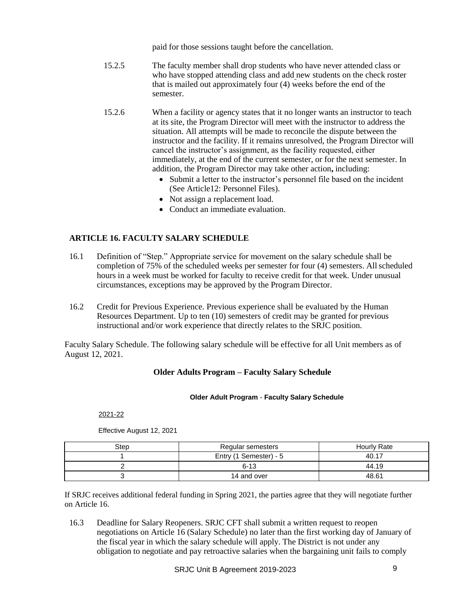paid for those sessions taught before the cancellation.

- 15.2.5 The faculty member shall drop students who have never attended class or who have stopped attending class and add new students on the check roster that is mailed out approximately four (4) weeks before the end of the semester.
- 15.2.6 When a facility or agency states that it no longer wants an instructor to teach at its site, the Program Director will meet with the instructor to address the situation. All attempts will be made to reconcile the dispute between the instructor and the facility. If it remains unresolved, the Program Director will cancel the instructor's assignment, as the facility requested, either immediately, at the end of the current semester, or for the next semester. In addition, the Program Director may take other action**,** including:
	- Submit a letter to the instructor's personnel file based on the incident (See Article12: Personnel Files).
	- Not assign a replacement load.
	- Conduct an immediate evaluation.

## **ARTICLE 16. FACULTY SALARY SCHEDULE**

- 16.1 Definition of "Step." Appropriate service for movement on the salary schedule shall be completion of 75% of the scheduled weeks per semester for four (4) semesters. Allscheduled hours in a week must be worked for faculty to receive credit for that week. Under unusual circumstances, exceptions may be approved by the Program Director.
- 16.2 Credit for Previous Experience. Previous experience shall be evaluated by the Human Resources Department. Up to ten (10) semesters of credit may be granted for previous instructional and/or work experience that directly relates to the SRJC position.

Faculty Salary Schedule. The following salary schedule will be effective for all Unit members as of August 12, 2021.

#### **Older Adults Program – Faculty Salary Schedule**

#### **Older Adult Program** - **Faculty Salary Schedule**

2021-22

| Step | Regular semesters      | Hourly Rate |
|------|------------------------|-------------|
|      | Entry (1 Semester) - 5 | 40.17       |
|      | $6 - 13$               | 44.19       |
|      | 14 and over            | 48.61       |

Effective August 12, 2021

If SRJC receives additional federal funding in Spring 2021, the parties agree that they will negotiate further on Article 16.

16.3 Deadline for Salary Reopeners. SRJC CFT shall submit a written request to reopen negotiations on Article 16 (Salary Schedule) no later than the first working day of January of the fiscal year in which the salary schedule will apply. The District is not under any obligation to negotiate and pay retroactive salaries when the bargaining unit fails to comply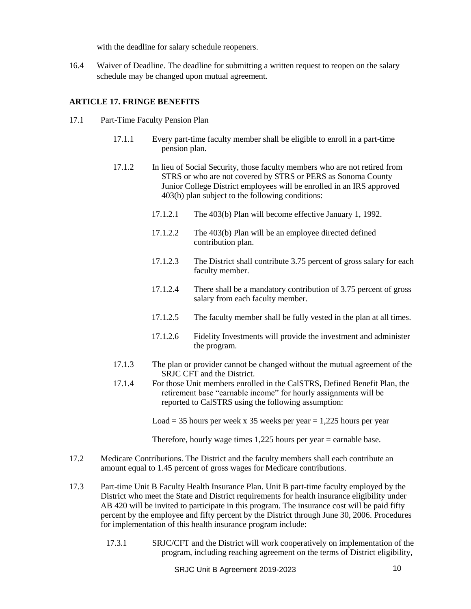with the deadline for salary schedule reopeners.

16.4 Waiver of Deadline. The deadline for submitting a written request to reopen on the salary schedule may be changed upon mutual agreement.

## **ARTICLE 17. FRINGE BENEFITS**

- 17.1 Part-Time Faculty Pension Plan
	- 17.1.1 Every part-time faculty member shall be eligible to enroll in a part-time pension plan.
	- 17.1.2 In lieu of Social Security, those faculty members who are not retired from STRS or who are not covered by STRS or PERS as Sonoma County Junior College District employees will be enrolled in an IRS approved 403(b) plan subject to the following conditions:
		- 17.1.2.1 The 403(b) Plan will become effective January 1, 1992.
		- 17.1.2.2 The 403(b) Plan will be an employee directed defined contribution plan.
		- 17.1.2.3 The District shall contribute 3.75 percent of gross salary for each faculty member.
		- 17.1.2.4 There shall be a mandatory contribution of 3.75 percent of gross salary from each faculty member.
		- 17.1.2.5 The faculty member shall be fully vested in the plan at all times.
		- 17.1.2.6 Fidelity Investments will provide the investment and administer the program.
	- 17.1.3 The plan or provider cannot be changed without the mutual agreement of the SRJC CFT and the District.
	- 17.1.4 For those Unit members enrolled in the CalSTRS, Defined Benefit Plan, the retirement base "earnable income" for hourly assignments will be reported to CalSTRS using the following assumption:
		- Load = 35 hours per week x 35 weeks per year = 1,225 hours per year

Therefore, hourly wage times 1,225 hours per year = earnable base.

- 17.2 Medicare Contributions. The District and the faculty members shall each contribute an amount equal to 1.45 percent of gross wages for Medicare contributions.
- 17.3 Part-time Unit B Faculty Health Insurance Plan. Unit B part-time faculty employed by the District who meet the State and District requirements for health insurance eligibility under AB 420 will be invited to participate in this program. The insurance cost will be paid fifty percent by the employee and fifty percent by the District through June 30, 2006. Procedures for implementation of this health insurance program include:
	- 17.3.1 SRJC/CFT and the District will work cooperatively on implementation of the program, including reaching agreement on the terms of District eligibility,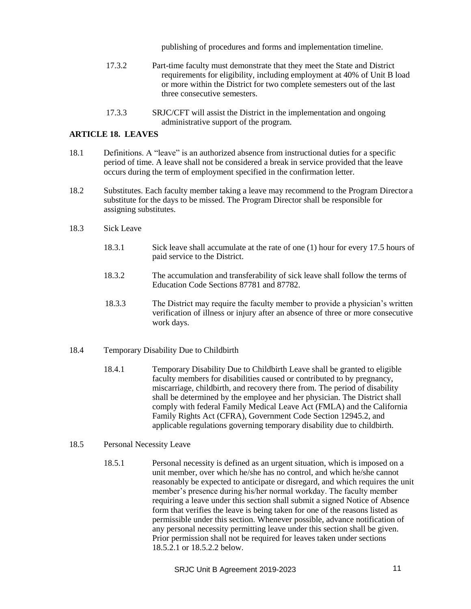publishing of procedures and forms and implementation timeline.

- 17.3.2 Part-time faculty must demonstrate that they meet the State and District requirements for eligibility, including employment at 40% of Unit B load or more within the District for two complete semesters out of the last three consecutive semesters.
- 17.3.3 SRJC/CFT will assist the District in the implementation and ongoing administrative support of the program.

#### **ARTICLE 18. LEAVES**

- 18.1 Definitions. A "leave" is an authorized absence from instructional duties for a specific period of time. A leave shall not be considered a break in service provided that the leave occurs during the term of employment specified in the confirmation letter.
- 18.2 Substitutes. Each faculty member taking a leave may recommend to the Program Director a substitute for the days to be missed. The Program Director shall be responsible for assigning substitutes.
- 18.3 Sick Leave
	- 18.3.1 Sick leave shall accumulate at the rate of one (1) hour for every 17.5 hours of paid service to the District.
	- 18.3.2 The accumulation and transferability of sick leave shall follow the terms of Education Code Sections 87781 and 87782.
	- 18.3.3 The District may require the faculty member to provide a physician's written verification of illness or injury after an absence of three or more consecutive work days.
- 18.4 Temporary Disability Due to Childbirth
	- 18.4.1 Temporary Disability Due to Childbirth Leave shall be granted to eligible faculty members for disabilities caused or contributed to by pregnancy, miscarriage, childbirth, and recovery there from. The period of disability shall be determined by the employee and her physician. The District shall comply with federal Family Medical Leave Act (FMLA) and the California Family Rights Act (CFRA), Government Code Section 12945.2, and applicable regulations governing temporary disability due to childbirth.

## 18.5 Personal Necessity Leave

18.5.1 Personal necessity is defined as an urgent situation, which is imposed on a unit member, over which he/she has no control, and which he/she cannot reasonably be expected to anticipate or disregard, and which requires the unit member's presence during his/her normal workday. The faculty member requiring a leave under this section shall submit a signed Notice of Absence form that verifies the leave is being taken for one of the reasons listed as permissible under this section. Whenever possible, advance notification of any personal necessity permitting leave under this section shall be given. Prior permission shall not be required for leaves taken under sections 18.5.2.1 or 18.5.2.2 below.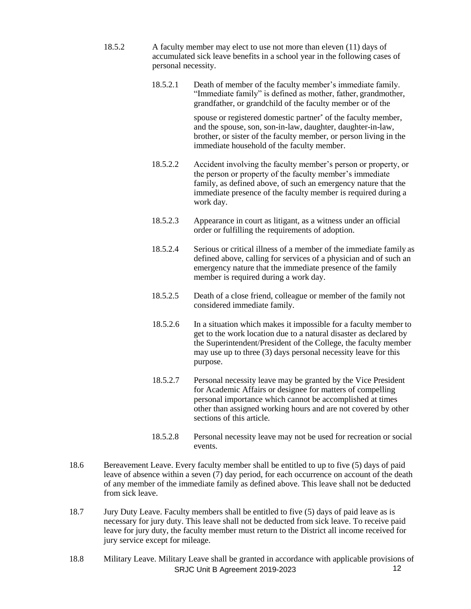- 18.5.2 A faculty member may elect to use not more than eleven (11) days of accumulated sick leave benefits in a school year in the following cases of personal necessity.
	- 18.5.2.1 Death of member of the faculty member's immediate family. "Immediate family" is defined as mother, father, grandmother, grandfather, or grandchild of the faculty member or of the

spouse or registered domestic partner<sup>\*</sup> of the faculty member, and the spouse, son, son-in-law, daughter, daughter-in-law, brother, or sister of the faculty member, or person living in the immediate household of the faculty member.

- 18.5.2.2 Accident involving the faculty member's person or property, or the person or property of the faculty member's immediate family, as defined above, of such an emergency nature that the immediate presence of the faculty member is required during a work day.
- 18.5.2.3 Appearance in court as litigant, as a witness under an official order or fulfilling the requirements of adoption.
- 18.5.2.4 Serious or critical illness of a member of the immediate family as defined above, calling for services of a physician and of such an emergency nature that the immediate presence of the family member is required during a work day.
- 18.5.2.5 Death of a close friend, colleague or member of the family not considered immediate family.
- 18.5.2.6 In a situation which makes it impossible for a faculty member to get to the work location due to a natural disaster as declared by the Superintendent/President of the College, the faculty member may use up to three (3) days personal necessity leave for this purpose.
- 18.5.2.7 Personal necessity leave may be granted by the Vice President for Academic Affairs or designee for matters of compelling personal importance which cannot be accomplished at times other than assigned working hours and are not covered by other sections of this article.
- 18.5.2.8 Personal necessity leave may not be used for recreation or social events.
- 18.6 Bereavement Leave. Every faculty member shall be entitled to up to five (5) days of paid leave of absence within a seven (7) day period, for each occurrence on account of the death of any member of the immediate family as defined above. This leave shall not be deducted from sick leave.
- 18.7 Jury Duty Leave. Faculty members shall be entitled to five (5) days of paid leave as is necessary for jury duty. This leave shall not be deducted from sick leave. To receive paid leave for jury duty, the faculty member must return to the District all income received for jury service except for mileage.
- SRJC Unit B Agreement 2019-2023 12 18.8 Military Leave. Military Leave shall be granted in accordance with applicable provisions of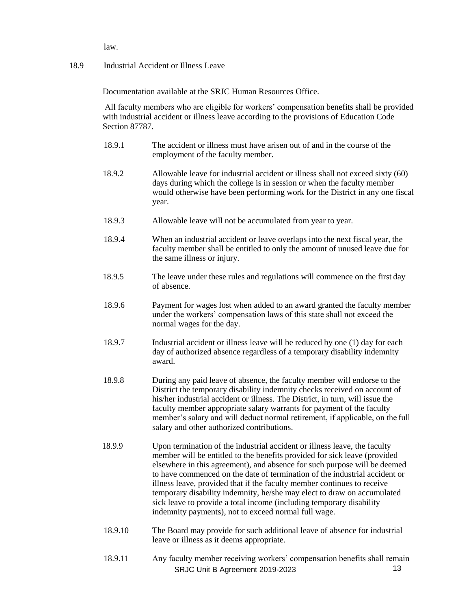law.

#### 18.9 Industrial Accident or Illness Leave

Documentation available at the SRJC Human Resources Office.

All faculty members who are eligible for workers' compensation benefits shall be provided with industrial accident or illness leave according to the provisions of Education Code Section 87787.

- 18.9.1 The accident or illness must have arisen out of and in the course of the employment of the faculty member.
- 18.9.2 Allowable leave for industrial accident or illness shall not exceed sixty (60) days during which the college is in session or when the faculty member would otherwise have been performing work for the District in any one fiscal year.
- 18.9.3 Allowable leave will not be accumulated from year to year.
- 18.9.4 When an industrial accident or leave overlaps into the next fiscal year, the faculty member shall be entitled to only the amount of unused leave due for the same illness or injury.
- 18.9.5 The leave under these rules and regulations will commence on the first day of absence.
- 18.9.6 Payment for wages lost when added to an award granted the faculty member under the workers' compensation laws of this state shall not exceed the normal wages for the day.
- 18.9.7 Industrial accident or illness leave will be reduced by one (1) day for each day of authorized absence regardless of a temporary disability indemnity award.
- 18.9.8 During any paid leave of absence, the faculty member will endorse to the District the temporary disability indemnity checks received on account of his/her industrial accident or illness. The District, in turn, will issue the faculty member appropriate salary warrants for payment of the faculty member's salary and will deduct normal retirement, if applicable, on the full salary and other authorized contributions.
- 18.9.9 Upon termination of the industrial accident or illness leave, the faculty member will be entitled to the benefits provided for sick leave (provided elsewhere in this agreement), and absence for such purpose will be deemed to have commenced on the date of termination of the industrial accident or illness leave, provided that if the faculty member continues to receive temporary disability indemnity, he/she may elect to draw on accumulated sick leave to provide a total income (including temporary disability indemnity payments), not to exceed normal full wage.
- 18.9.10 The Board may provide for such additional leave of absence for industrial leave or illness as it deems appropriate.
- SRJC Unit B Agreement 2019-2023 13 18.9.11 Any faculty member receiving workers' compensation benefits shall remain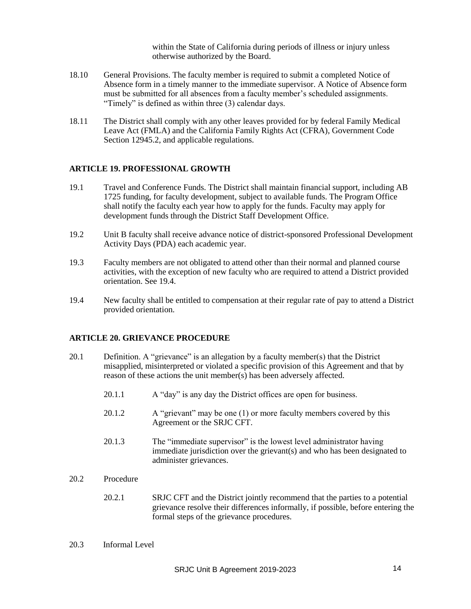within the State of California during periods of illness or injury unless otherwise authorized by the Board.

- 18.10 General Provisions. The faculty member is required to submit a completed Notice of Absence form in a timely manner to the immediate supervisor. A Notice of Absence form must be submitted for all absences from a faculty member's scheduled assignments. "Timely" is defined as within three (3) calendar days.
- 18.11 The District shall comply with any other leaves provided for by federal Family Medical Leave Act (FMLA) and the California Family Rights Act (CFRA), Government Code Section 12945.2, and applicable regulations.

#### **ARTICLE 19. PROFESSIONAL GROWTH**

- 19.1 Travel and Conference Funds. The District shall maintain financial support, including AB 1725 funding, for faculty development, subject to available funds. The Program Office shall notify the faculty each year how to apply for the funds. Faculty may apply for development funds through the District Staff Development Office.
- 19.2 Unit B faculty shall receive advance notice of district-sponsored Professional Development Activity Days (PDA) each academic year.
- 19.3 Faculty members are not obligated to attend other than their normal and planned course activities, with the exception of new faculty who are required to attend a District provided orientation. See 19.4.
- 19.4 New faculty shall be entitled to compensation at their regular rate of pay to attend a District provided orientation.

#### **ARTICLE 20. GRIEVANCE PROCEDURE**

- 20.1 Definition. A "grievance" is an allegation by a faculty member(s) that the District misapplied, misinterpreted or violated a specific provision of this Agreement and that by reason of these actions the unit member(s) has been adversely affected.
	- 20.1.1 A "day" is any day the District offices are open for business.
	- 20.1.2 A "grievant" may be one (1) or more faculty members covered by this Agreement or the SRJC CFT.
	- 20.1.3 The "immediate supervisor" is the lowest level administrator having immediate jurisdiction over the grievant(s) and who has been designated to administer grievances.
- 20.2 Procedure
	- 20.2.1 SRJC CFT and the District jointly recommend that the parties to a potential grievance resolve their differences informally, if possible, before entering the formal steps of the grievance procedures.
- 20.3 Informal Level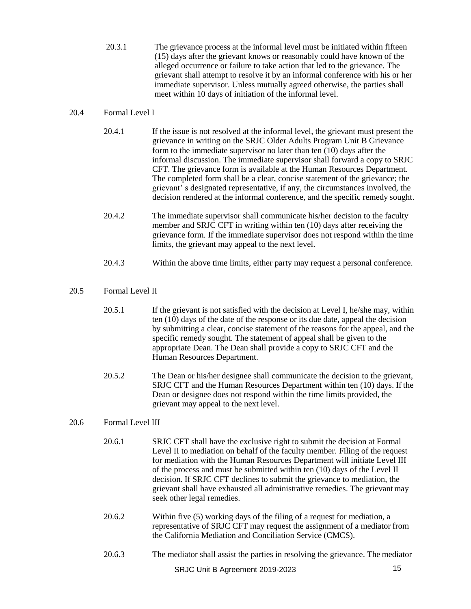20.3.1 The grievance process at the informal level must be initiated within fifteen (15) days after the grievant knows or reasonably could have known of the alleged occurrence or failure to take action that led to the grievance. The grievant shall attempt to resolve it by an informal conference with his or her immediate supervisor. Unless mutually agreed otherwise, the parties shall meet within 10 days of initiation of the informal level.

## 20.4 Formal Level I

- 20.4.1 If the issue is not resolved at the informal level, the grievant must present the grievance in writing on the SRJC Older Adults Program Unit B Grievance form to the immediate supervisor no later than ten (10) days after the informal discussion. The immediate supervisor shall forward a copy to SRJC CFT. The grievance form is available at the Human Resources Department. The completed form shall be a clear, concise statement of the grievance; the grievant' s designated representative, if any, the circumstances involved, the decision rendered at the informal conference, and the specific remedy sought.
- 20.4.2 The immediate supervisor shall communicate his/her decision to the faculty member and SRJC CFT in writing within ten (10) days after receiving the grievance form. If the immediate supervisor does not respond within the time limits, the grievant may appeal to the next level.
- 20.4.3 Within the above time limits, either party may request a personal conference.

## 20.5 Formal Level II

- 20.5.1 If the grievant is not satisfied with the decision at Level I, he/she may, within ten (10) days of the date of the response or its due date, appeal the decision by submitting a clear, concise statement of the reasons for the appeal, and the specific remedy sought. The statement of appeal shall be given to the appropriate Dean. The Dean shall provide a copy to SRJC CFT and the Human Resources Department.
- 20.5.2 The Dean or his/her designee shall communicate the decision to the grievant, SRJC CFT and the Human Resources Department within ten (10) days. If the Dean or designee does not respond within the time limits provided, the grievant may appeal to the next level.

## 20.6 Formal Level III

- 20.6.1 SRJC CFT shall have the exclusive right to submit the decision at Formal Level II to mediation on behalf of the faculty member. Filing of the request for mediation with the Human Resources Department will initiate Level III of the process and must be submitted within ten (10) days of the Level II decision. If SRJC CFT declines to submit the grievance to mediation, the grievant shall have exhausted all administrative remedies. The grievant may seek other legal remedies.
- 20.6.2 Within five (5) working days of the filing of a request for mediation, a representative of SRJC CFT may request the assignment of a mediator from the California Mediation and Conciliation Service (CMCS).
- 20.6.3 The mediator shall assist the parties in resolving the grievance. The mediator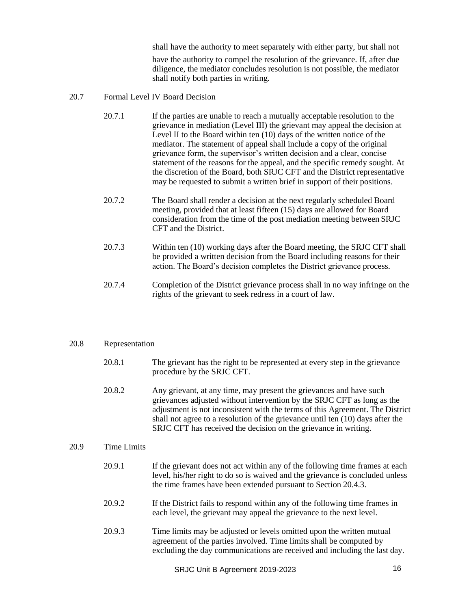shall have the authority to meet separately with either party, but shall not

have the authority to compel the resolution of the grievance. If, after due diligence, the mediator concludes resolution is not possible, the mediator shall notify both parties in writing.

- 20.7 Formal Level IV Board Decision
	- 20.7.1 If the parties are unable to reach a mutually acceptable resolution to the grievance in mediation (Level III) the grievant may appeal the decision at Level II to the Board within ten (10) days of the written notice of the mediator. The statement of appeal shall include a copy of the original grievance form, the supervisor's written decision and a clear, concise statement of the reasons for the appeal, and the specific remedy sought. At the discretion of the Board, both SRJC CFT and the District representative may be requested to submit a written brief in support of their positions.
	- 20.7.2 The Board shall render a decision at the next regularly scheduled Board meeting, provided that at least fifteen (15) days are allowed for Board consideration from the time of the post mediation meeting between SRJC CFT and the District.
	- 20.7.3 Within ten (10) working days after the Board meeting, the SRJC CFT shall be provided a written decision from the Board including reasons for their action. The Board's decision completes the District grievance process.
	- 20.7.4 Completion of the District grievance process shall in no way infringe on the rights of the grievant to seek redress in a court of law.

#### 20.8 Representation

- 20.8.1 The grievant has the right to be represented at every step in the grievance procedure by the SRJC CFT.
- 20.8.2 Any grievant, at any time, may present the grievances and have such grievances adjusted without intervention by the SRJC CFT as long as the adjustment is not inconsistent with the terms of this Agreement. The District shall not agree to a resolution of the grievance until ten (10) days after the SRJC CFT has received the decision on the grievance in writing.

#### 20.9 Time Limits

- 20.9.1 If the grievant does not act within any of the following time frames at each level, his/her right to do so is waived and the grievance is concluded unless the time frames have been extended pursuant to Section 20.4.3.
- 20.9.2 If the District fails to respond within any of the following time frames in each level, the grievant may appeal the grievance to the next level.
- 20.9.3 Time limits may be adjusted or levels omitted upon the written mutual agreement of the parties involved. Time limits shall be computed by excluding the day communications are received and including the last day.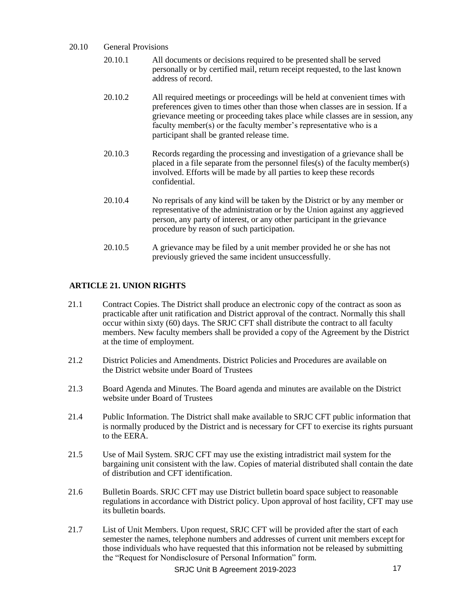- 20.10 General Provisions
	- 20.10.1 All documents or decisions required to be presented shall be served personally or by certified mail, return receipt requested, to the last known address of record.
	- 20.10.2 All required meetings or proceedings will be held at convenient times with preferences given to times other than those when classes are in session. If a grievance meeting or proceeding takes place while classes are in session, any faculty member(s) or the faculty member's representative who is a participant shall be granted release time.
	- 20.10.3 Records regarding the processing and investigation of a grievance shall be placed in a file separate from the personnel files(s) of the faculty member(s) involved. Efforts will be made by all parties to keep these records confidential.
	- 20.10.4 No reprisals of any kind will be taken by the District or by any member or representative of the administration or by the Union against any aggrieved person, any party of interest, or any other participant in the grievance procedure by reason of such participation.
	- 20.10.5 A grievance may be filed by a unit member provided he or she has not previously grieved the same incident unsuccessfully.

## **ARTICLE 21. UNION RIGHTS**

- 21.1 Contract Copies. The District shall produce an electronic copy of the contract as soon as practicable after unit ratification and District approval of the contract. Normally this shall occur within sixty (60) days. The SRJC CFT shall distribute the contract to all faculty members. New faculty members shall be provided a copy of the Agreement by the District at the time of employment.
- 21.2 District Policies and Amendments. District Policies and Procedures are available on the District website under Board of Trustees
- 21.3 Board Agenda and Minutes. The Board agenda and minutes are available on the District website under Board of Trustees
- 21.4 Public Information. The District shall make available to SRJC CFT public information that is normally produced by the District and is necessary for CFT to exercise its rights pursuant to the EERA.
- 21.5 Use of Mail System. SRJC CFT may use the existing intradistrict mail system for the bargaining unit consistent with the law. Copies of material distributed shall contain the date of distribution and CFT identification.
- 21.6 Bulletin Boards. SRJC CFT may use District bulletin board space subject to reasonable regulations in accordance with District policy. Upon approval of host facility, CFT may use its bulletin boards.
- 21.7 List of Unit Members. Upon request, SRJC CFT will be provided after the start of each semester the names, telephone numbers and addresses of current unit members exceptfor those individuals who have requested that this information not be released by submitting the "Request for Nondisclosure of Personal Information" form.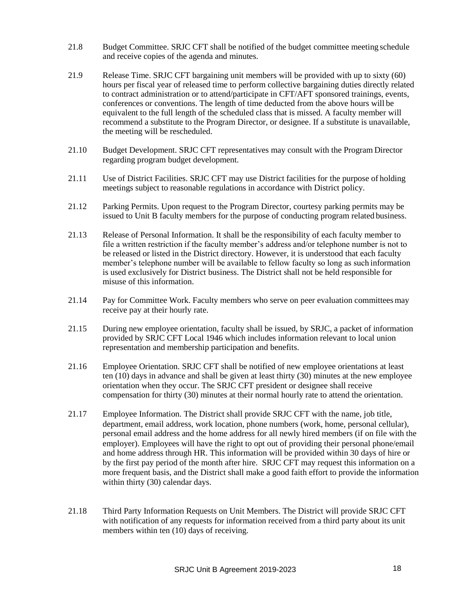- 21.8 Budget Committee. SRJC CFT shall be notified of the budget committee meeting schedule and receive copies of the agenda and minutes.
- 21.9 Release Time. SRJC CFT bargaining unit members will be provided with up to sixty (60) hours per fiscal year of released time to perform collective bargaining duties directly related to contract administration or to attend/participate in CFT/AFT sponsored trainings, events, conferences or conventions. The length of time deducted from the above hours will be equivalent to the full length of the scheduled class that is missed. A faculty member will recommend a substitute to the Program Director, or designee. If a substitute is unavailable, the meeting will be rescheduled.
- 21.10 Budget Development. SRJC CFT representatives may consult with the Program Director regarding program budget development.
- 21.11 Use of District Facilities. SRJC CFT may use District facilities for the purpose of holding meetings subject to reasonable regulations in accordance with District policy.
- 21.12 Parking Permits. Upon request to the Program Director, courtesy parking permits may be issued to Unit B faculty members for the purpose of conducting program related business.
- 21.13 Release of Personal Information. It shall be the responsibility of each faculty member to file a written restriction if the faculty member's address and/or telephone number is not to be released or listed in the District directory. However, it is understood that each faculty member's telephone number will be available to fellow faculty so long as such information is used exclusively for District business. The District shall not be held responsible for misuse of this information.
- 21.14 Pay for Committee Work. Faculty members who serve on peer evaluation committeesmay receive pay at their hourly rate.
- 21.15 During new employee orientation, faculty shall be issued, by SRJC, a packet of information provided by SRJC CFT Local 1946 which includes information relevant to local union representation and membership participation and benefits.
- 21.16 Employee Orientation. SRJC CFT shall be notified of new employee orientations at least ten (10) days in advance and shall be given at least thirty (30) minutes at the new employee orientation when they occur. The SRJC CFT president or designee shall receive compensation for thirty (30) minutes at their normal hourly rate to attend the orientation.
- 21.17 Employee Information. The District shall provide SRJC CFT with the name, job title, department, email address, work location, phone numbers (work, home, personal cellular), personal email address and the home address for all newly hired members (if on file with the employer). Employees will have the right to opt out of providing their personal phone/email and home address through HR. This information will be provided within 30 days of hire or by the first pay period of the month after hire. SRJC CFT may request this information on a more frequent basis, and the District shall make a good faith effort to provide the information within thirty (30) calendar days.
- 21.18 Third Party Information Requests on Unit Members. The District will provide SRJC CFT with notification of any requests for information received from a third party about its unit members within ten (10) days of receiving.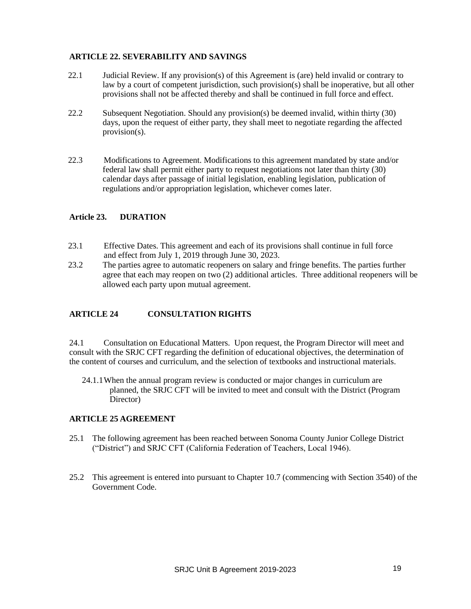## **ARTICLE 22. SEVERABILITY AND SAVINGS**

- 22.1 Judicial Review. If any provision(s) of this Agreement is (are) held invalid or contrary to law by a court of competent jurisdiction, such provision(s) shall be inoperative, but all other provisions shall not be affected thereby and shall be continued in full force and effect.
- 22.2 Subsequent Negotiation. Should any provision(s) be deemed invalid, within thirty (30) days, upon the request of either party, they shall meet to negotiate regarding the affected provision(s).
- 22.3 Modifications to Agreement. Modifications to this agreement mandated by state and/or federal law shall permit either party to request negotiations not later than thirty (30) calendar days after passage of initial legislation, enabling legislation, publication of regulations and/or appropriation legislation, whichever comes later.

#### **Article 23. DURATION**

- 23.1 Effective Dates. This agreement and each of its provisions shall continue in full force and effect from July 1, 2019 through June 30, 2023.
- 23.2 The parties agree to automatic reopeners on salary and fringe benefits. The parties further agree that each may reopen on two (2) additional articles. Three additional reopeners will be allowed each party upon mutual agreement.

#### **ARTICLE 24 CONSULTATION RIGHTS**

24.1 Consultation on Educational Matters. Upon request, the Program Director will meet and consult with the SRJC CFT regarding the definition of educational objectives, the determination of the content of courses and curriculum, and the selection of textbooks and instructional materials.

24.1.1When the annual program review is conducted or major changes in curriculum are planned, the SRJC CFT will be invited to meet and consult with the District (Program Director)

#### **ARTICLE 25 AGREEMENT**

- 25.1 The following agreement has been reached between Sonoma County Junior College District ("District") and SRJC CFT (California Federation of Teachers, Local 1946).
- 25.2 This agreement is entered into pursuant to Chapter 10.7 (commencing with Section 3540) of the Government Code.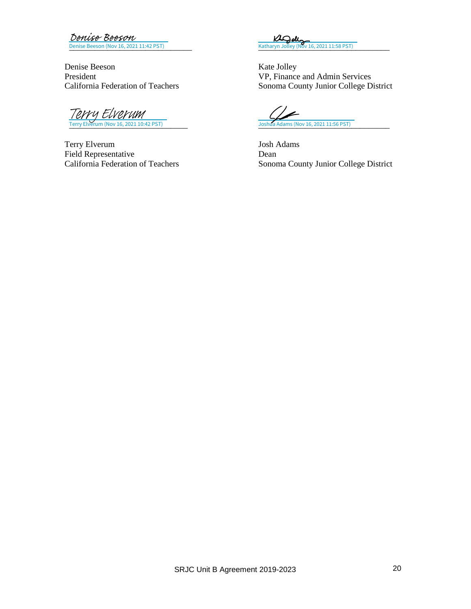Denise Beeson (Nov 16, 2021 11:42 PST) Denise Beeson

Denise Beeson Kate Jolley<br>President VP, Finance President VP, Finance and Admin Services<br>California Federation of Teachers Sonoma County Junior College D

 $\frac{76}{\text{very Elverum (Nov 16, 2021 10:42 PST)}}$ <br>[Terry Elverum](https://santarosajc.na1.documents.adobe.com/verifier?tx=CBJCHBCAABAAZp6Tw4xtlgbgzmNRr6nKgLvu6t06Yh27) (Nov 16, 2021 10:42 PST)

Terry Elverum Josh Adams Field Representative Dean<br>California Federation of Teachers Sonon

[\\_\\_\\_\\_\\_\\_\\_\\_\\_\\_\\_\\_\\_\\_\\_\\_\\_\\_\\_\\_\\_\\_\\_\\_\\_\\_\\_\\_\\_](https://adobecancelledaccountschannel.na1.documents.adobe.com/verifier?tx=CBJCHBCAABAAZp6Tw4xtlgbgzmNRr6nKgLvu6t06Yh27) [\\_\\_\\_\\_\\_\\_\\_\\_\\_\\_\\_\\_\\_\\_\\_\\_\\_\\_\\_\\_\\_\\_\\_\\_\\_\\_\\_\\_\\_\\_\\_](https://santarosajc.na1.documents.adobe.com/verifier?tx=CBJCHBCAABAAZp6Tw4xtlgbgzmNRr6nKgLvu6t06Yh27) Katharyn Jolley (Nov 16, 2021 11:58 PST)

Sonoma County Junior College District

৴ Joshua Adams (Nov 16, 2021 11:56 PST)

Sonoma County Junior College District